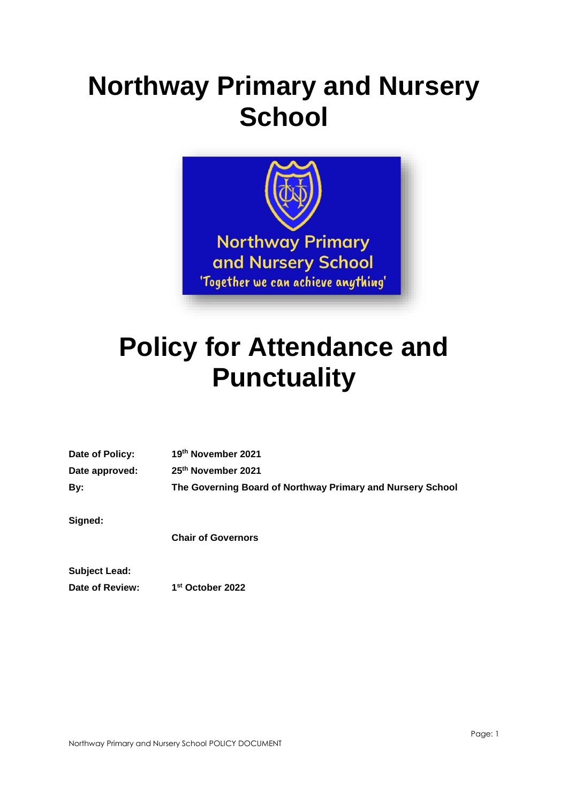# **Northway Primary and Nursery School**



## **Policy for Attendance and Punctuality**

| Date of Policy: | 19th November 2021                                         |
|-----------------|------------------------------------------------------------|
| Date approved:  | 25 <sup>th</sup> November 2021                             |
| By:             | The Governing Board of Northway Primary and Nursery School |
| Signed:         |                                                            |

**Chair of Governors**

**Subject Lead: Date of Review: 1**

**st October 2022**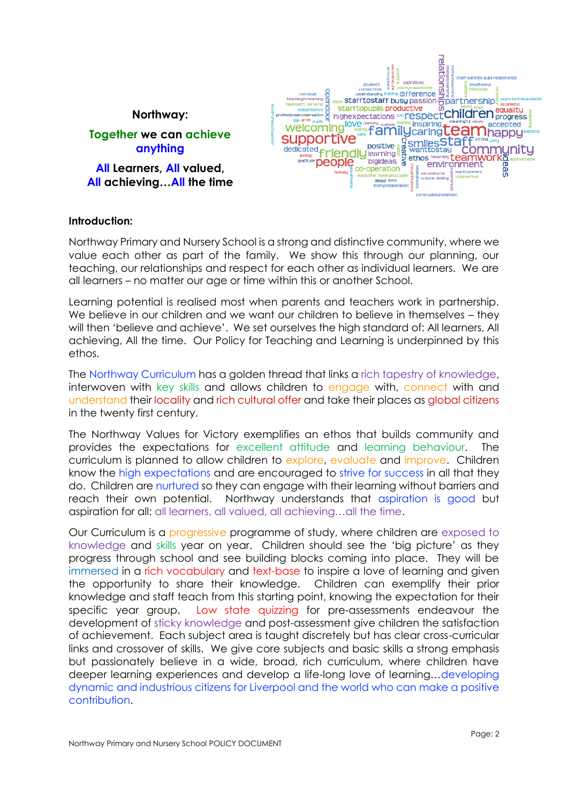

#### **Introduction:**

Northway Primary and Nursery School is a strong and distinctive community, where we value each other as part of the family. We show this through our planning, our teaching, our relationships and respect for each other as individual learners. We are all learners – no matter our age or time within this or another School.

Learning potential is realised most when parents and teachers work in partnership. We believe in our children and we want our children to believe in themselves – they will then 'believe and achieve'. We set ourselves the high standard of: All learners, All achieving, All the time. Our Policy for Teaching and Learning is underpinned by this ethos.

The Northway Curriculum has a golden thread that links a rich tapestry of knowledge, interwoven with key skills and allows children to engage with, connect with and understand their locality and rich cultural offer and take their places as global citizens in the twenty first century.

The Northway Values for Victory exemplifies an ethos that builds community and provides the expectations for excellent attitude and learning behaviour. The curriculum is planned to allow children to explore, evaluate and improve. Children know the high expectations and are encouraged to strive for success in all that they do. Children are nurtured so they can engage with their learning without barriers and reach their own potential. Northway understands that aspiration is good but aspiration for all: all learners, all valued, all achieving…all the time.

Our Curriculum is a progressive programme of study, where children are exposed to knowledge and skills year on year. Children should see the 'big picture' as they progress through school and see building blocks coming into place. They will be immersed in a rich vocabulary and text-base to inspire a love of learning and given the opportunity to share their knowledge. Children can exemplify their prior knowledge and staff teach from this starting point, knowing the expectation for their specific year group. Low state quizzing for pre-assessments endeavour the development of sticky knowledge and post-assessment give children the satisfaction of achievement. Each subject area is taught discretely but has clear cross-curricular links and crossover of skills. We give core subjects and basic skills a strong emphasis but passionately believe in a wide, broad, rich curriculum, where children have deeper learning experiences and develop a life-long love of learning…developing dynamic and industrious citizens for Liverpool and the world who can make a positive contribution.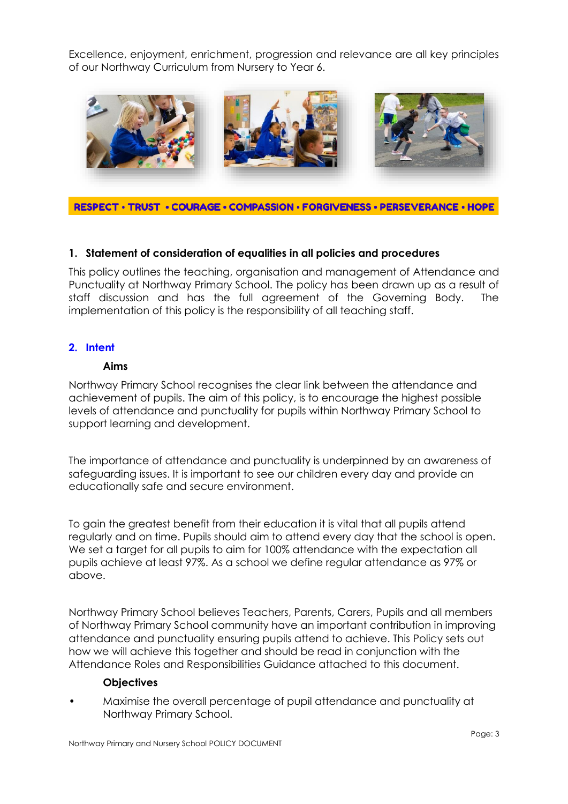Excellence, enjoyment, enrichment, progression and relevance are all key principles of our Northway Curriculum from Nursery to Year 6.



RESPECT • TRUST • COURAGE • COMPASSION • FORGIVENESS • PERSEVERANCE • HOPE

## **1. Statement of consideration of equalities in all policies and procedures**

This policy outlines the teaching, organisation and management of Attendance and Punctuality at Northway Primary School. The policy has been drawn up as a result of staff discussion and has the full agreement of the Governing Body. The implementation of this policy is the responsibility of all teaching staff.

## **2. Intent**

#### **Aims**

Northway Primary School recognises the clear link between the attendance and achievement of pupils. The aim of this policy, is to encourage the highest possible levels of attendance and punctuality for pupils within Northway Primary School to support learning and development.

The importance of attendance and punctuality is underpinned by an awareness of safeguarding issues. It is important to see our children every day and provide an educationally safe and secure environment.

To gain the greatest benefit from their education it is vital that all pupils attend regularly and on time. Pupils should aim to attend every day that the school is open. We set a target for all pupils to aim for  $100\%$  attendance with the expectation all pupils achieve at least 97%. As a school we define regular attendance as 97% or above.

Northway Primary School believes Teachers, Parents, Carers, Pupils and all members of Northway Primary School community have an important contribution in improving attendance and punctuality ensuring pupils attend to achieve. This Policy sets out how we will achieve this together and should be read in conjunction with the Attendance Roles and Responsibilities Guidance attached to this document.

#### **Objectives**

• Maximise the overall percentage of pupil attendance and punctuality at Northway Primary School.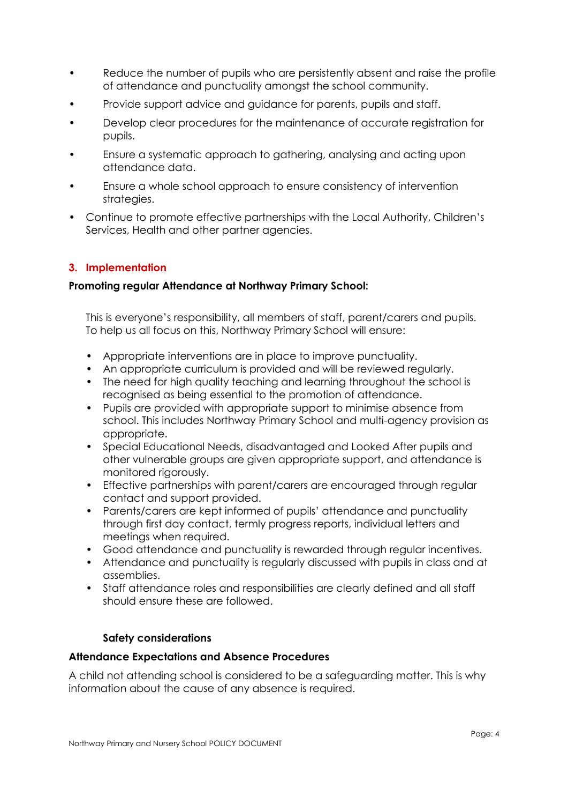- Reduce the number of pupils who are persistently absent and raise the profile of attendance and punctuality amongst the school community.
- Provide support advice and guidance for parents, pupils and staff.
- Develop clear procedures for the maintenance of accurate registration for pupils.
- Ensure a systematic approach to gathering, analysing and acting upon attendance data.
- Ensure a whole school approach to ensure consistency of intervention strategies.
- Continue to promote effective partnerships with the Local Authority, Children's Services, Health and other partner agencies.

## **3. Implementation**

## **Promoting regular Attendance at Northway Primary School:**

This is everyone's responsibility, all members of staff, parent/carers and pupils. To help us all focus on this, Northway Primary School will ensure:

- Appropriate interventions are in place to improve punctuality.
- An appropriate curriculum is provided and will be reviewed regularly.
- The need for high quality teaching and learning throughout the school is recognised as being essential to the promotion of attendance.
- Pupils are provided with appropriate support to minimise absence from school. This includes Northway Primary School and multi-agency provision as appropriate.
- Special Educational Needs, disadvantaged and Looked After pupils and other vulnerable groups are given appropriate support, and attendance is monitored rigorously.
- Effective partnerships with parent/carers are encouraged through regular contact and support provided.
- Parents/carers are kept informed of pupils' attendance and punctuality through first day contact, termly progress reports, individual letters and meetings when required.
- Good attendance and punctuality is rewarded through regular incentives.
- Attendance and punctuality is regularly discussed with pupils in class and at assemblies.
- Staff attendance roles and responsibilities are clearly defined and all staff should ensure these are followed.

#### **Safety considerations**

#### **Attendance Expectations and Absence Procedures**

A child not attending school is considered to be a safeguarding matter. This is why information about the cause of any absence is required.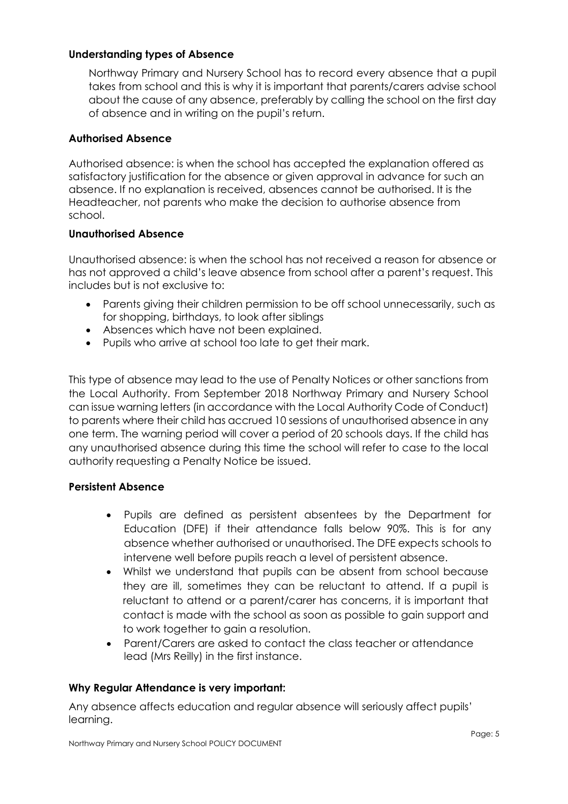## **Understanding types of Absence**

Northway Primary and Nursery School has to record every absence that a pupil takes from school and this is why it is important that parents/carers advise school about the cause of any absence, preferably by calling the school on the first day of absence and in writing on the pupil's return.

### **Authorised Absence**

Authorised absence: is when the school has accepted the explanation offered as satisfactory justification for the absence or given approval in advance for such an absence. If no explanation is received, absences cannot be authorised. It is the Headteacher, not parents who make the decision to authorise absence from school.

#### **Unauthorised Absence**

Unauthorised absence: is when the school has not received a reason for absence or has not approved a child's leave absence from school after a parent's request. This includes but is not exclusive to:

- Parents giving their children permission to be off school unnecessarily, such as for shopping, birthdays, to look after siblings
- Absences which have not been explained.
- Pupils who arrive at school too late to get their mark.

This type of absence may lead to the use of Penalty Notices or other sanctions from the Local Authority. From September 2018 Northway Primary and Nursery School can issue warning letters (in accordance with the Local Authority Code of Conduct) to parents where their child has accrued 10 sessions of unauthorised absence in any one term. The warning period will cover a period of 20 schools days. If the child has any unauthorised absence during this time the school will refer to case to the local authority requesting a Penalty Notice be issued.

## **Persistent Absence**

- Pupils are defined as persistent absentees by the Department for Education (DFE) if their attendance falls below 90%. This is for any absence whether authorised or unauthorised. The DFE expects schools to intervene well before pupils reach a level of persistent absence.
- Whilst we understand that pupils can be absent from school because they are ill, sometimes they can be reluctant to attend. If a pupil is reluctant to attend or a parent/carer has concerns, it is important that contact is made with the school as soon as possible to gain support and to work together to gain a resolution.
- Parent/Carers are asked to contact the class teacher or attendance lead (Mrs Reilly) in the first instance.

## **Why Regular Attendance is very important:**

Any absence affects education and regular absence will seriously affect pupils' learning.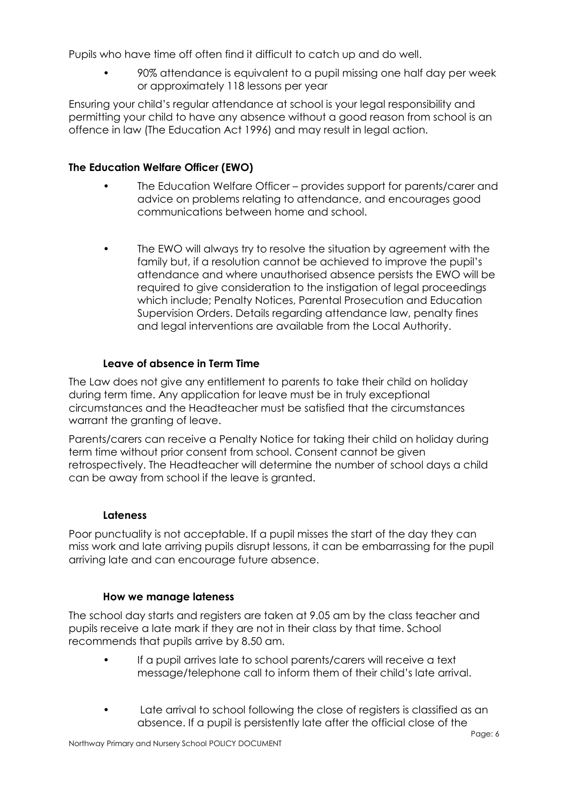Pupils who have time off often find it difficult to catch up and do well.

• 90% attendance is equivalent to a pupil missing one half day per week or approximately 118 lessons per year

Ensuring your child's regular attendance at school is your legal responsibility and permitting your child to have any absence without a good reason from school is an offence in law (The Education Act 1996) and may result in legal action.

## **The Education Welfare Officer (EWO)**

- The Education Welfare Officer provides support for parents/carer and advice on problems relating to attendance, and encourages good communications between home and school.
- The EWO will always try to resolve the situation by agreement with the family but, if a resolution cannot be achieved to improve the pupil's attendance and where unauthorised absence persists the EWO will be required to give consideration to the instigation of legal proceedings which include; Penalty Notices, Parental Prosecution and Education Supervision Orders. Details regarding attendance law, penalty fines and legal interventions are available from the Local Authority.

## **Leave of absence in Term Time**

The Law does not give any entitlement to parents to take their child on holiday during term time. Any application for leave must be in truly exceptional circumstances and the Headteacher must be satisfied that the circumstances warrant the granting of leave.

Parents/carers can receive a Penalty Notice for taking their child on holiday during term time without prior consent from school. Consent cannot be given retrospectively. The Headteacher will determine the number of school days a child can be away from school if the leave is granted.

## **Lateness**

Poor punctuality is not acceptable. If a pupil misses the start of the day they can miss work and late arriving pupils disrupt lessons, it can be embarrassing for the pupil arriving late and can encourage future absence.

## **How we manage lateness**

The school day starts and registers are taken at 9.05 am by the class teacher and pupils receive a late mark if they are not in their class by that time. School recommends that pupils arrive by 8.50 am.

- If a pupil arrives late to school parents/carers will receive a text message/telephone call to inform them of their child's late arrival.
- Late arrival to school following the close of registers is classified as an absence. If a pupil is persistently late after the official close of the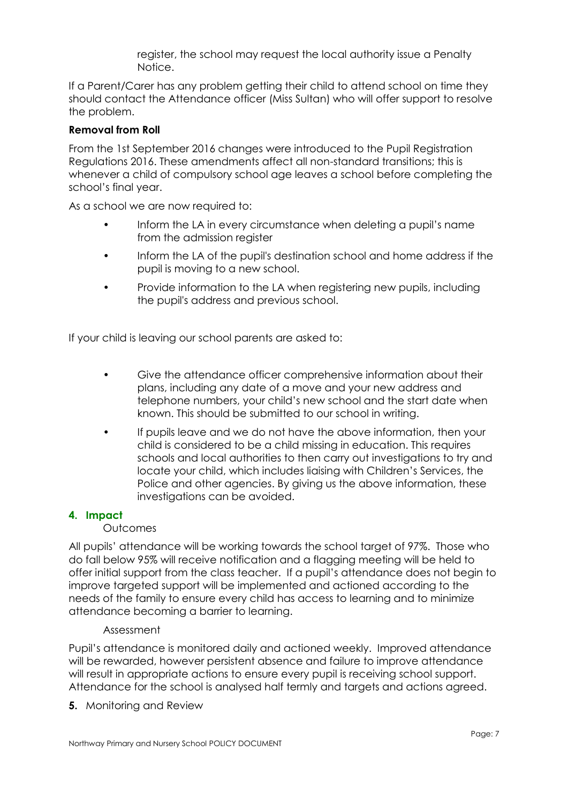register, the school may request the local authority issue a Penalty Notice.

If a Parent/Carer has any problem getting their child to attend school on time they should contact the Attendance officer (Miss Sultan) who will offer support to resolve the problem.

### **Removal from Roll**

From the 1st September 2016 changes were introduced to the Pupil Registration Regulations 2016. These amendments affect all non-standard transitions; this is whenever a child of compulsory school age leaves a school before completing the school's final year.

As a school we are now required to:

- Inform the LA in every circumstance when deleting a pupil's name from the admission register
- Inform the LA of the pupil's destination school and home address if the pupil is moving to a new school.
- Provide information to the LA when registering new pupils, including the pupil's address and previous school.

If your child is leaving our school parents are asked to:

- Give the attendance officer comprehensive information about their plans, including any date of a move and your new address and telephone numbers, your child's new school and the start date when known. This should be submitted to our school in writing.
- If pupils leave and we do not have the above information, then your child is considered to be a child missing in education. This requires schools and local authorities to then carry out investigations to try and locate your child, which includes liaising with Children's Services, the Police and other agencies. By giving us the above information, these investigations can be avoided.

#### **4. Impact**

#### **Outcomes**

All pupils' attendance will be working towards the school target of 97%. Those who do fall below 95% will receive notification and a flagging meeting will be held to offer initial support from the class teacher. If a pupil's attendance does not begin to improve targeted support will be implemented and actioned according to the needs of the family to ensure every child has access to learning and to minimize attendance becoming a barrier to learning.

#### Assessment

Pupil's attendance is monitored daily and actioned weekly. Improved attendance will be rewarded, however persistent absence and failure to improve attendance will result in appropriate actions to ensure every pupil is receiving school support. Attendance for the school is analysed half termly and targets and actions agreed.

**5.** Monitoring and Review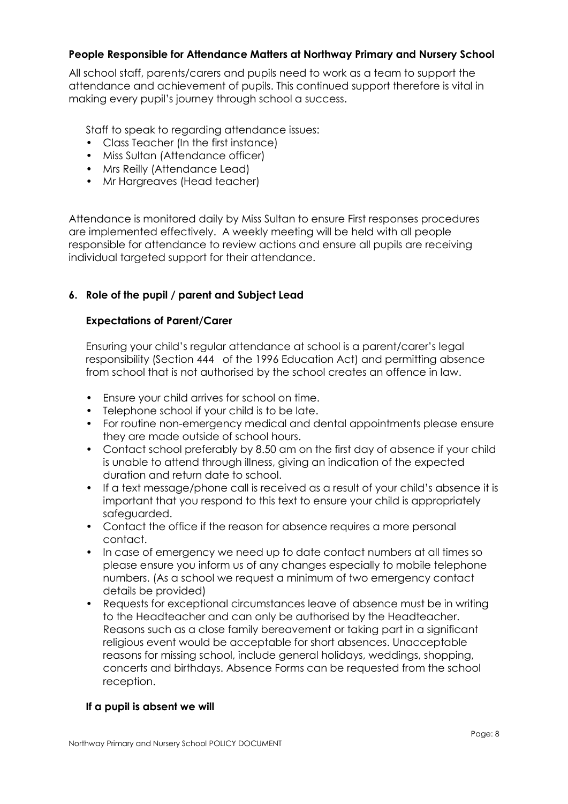## **People Responsible for Attendance Matters at Northway Primary and Nursery School**

All school staff, parents/carers and pupils need to work as a team to support the attendance and achievement of pupils. This continued support therefore is vital in making every pupil's journey through school a success.

Staff to speak to regarding attendance issues:

- Class Teacher (In the first instance)
- Miss Sultan (Attendance officer)
- Mrs Reilly (Attendance Lead)
- Mr Hargreaves (Head teacher)

Attendance is monitored daily by Miss Sultan to ensure First responses procedures are implemented effectively. A weekly meeting will be held with all people responsible for attendance to review actions and ensure all pupils are receiving individual targeted support for their attendance.

## **6. Role of the pupil / parent and Subject Lead**

## **Expectations of Parent/Carer**

Ensuring your child's regular attendance at school is a parent/carer's legal responsibility (Section 444 of the 1996 Education Act) and permitting absence from school that is not authorised by the school creates an offence in law.

- Ensure your child arrives for school on time.
- Telephone school if your child is to be late.
- For routine non-emergency medical and dental appointments please ensure they are made outside of school hours.
- Contact school preferably by 8.50 am on the first day of absence if your child is unable to attend through illness, giving an indication of the expected duration and return date to school.
- If a text message/phone call is received as a result of your child's absence it is important that you respond to this text to ensure your child is appropriately safeguarded.
- Contact the office if the reason for absence requires a more personal contact.
- In case of emergency we need up to date contact numbers at all times so please ensure you inform us of any changes especially to mobile telephone numbers. (As a school we request a minimum of two emergency contact details be provided)
- Requests for exceptional circumstances leave of absence must be in writing to the Headteacher and can only be authorised by the Headteacher. Reasons such as a close family bereavement or taking part in a significant religious event would be acceptable for short absences. Unacceptable reasons for missing school, include general holidays, weddings, shopping, concerts and birthdays. Absence Forms can be requested from the school reception.

## **If a pupil is absent we will**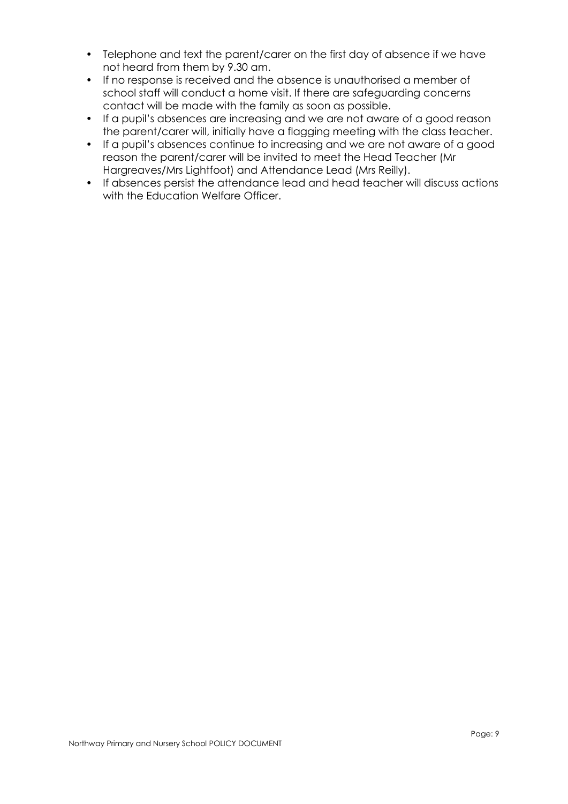- Telephone and text the parent/carer on the first day of absence if we have not heard from them by 9.30 am.
- If no response is received and the absence is unauthorised a member of school staff will conduct a home visit. If there are safeguarding concerns contact will be made with the family as soon as possible.
- If a pupil's absences are increasing and we are not aware of a good reason the parent/carer will, initially have a flagging meeting with the class teacher.
- If a pupil's absences continue to increasing and we are not aware of a good reason the parent/carer will be invited to meet the Head Teacher (Mr Hargreaves/Mrs Lightfoot) and Attendance Lead (Mrs Reilly).
- If absences persist the attendance lead and head teacher will discuss actions with the Education Welfare Officer.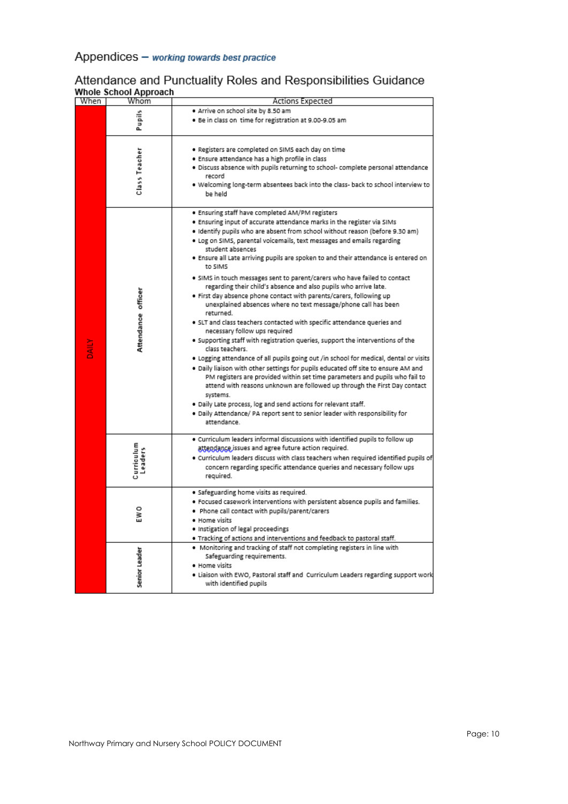## Appendices - working towards best practice

## Attendance and Punctuality Roles and Responsibilities Guidance<br>Whole School Approach

| When | Whom                         | Actions Expected                                                                           |  |
|------|------------------------------|--------------------------------------------------------------------------------------------|--|
|      |                              | . Arrive on school site by 8.50 am                                                         |  |
|      | Pupils                       | . Be in class on time for registration at 9.00-9.05 am                                     |  |
|      |                              |                                                                                            |  |
|      |                              |                                                                                            |  |
|      |                              | . Registers are completed on SIMS each day on time                                         |  |
|      |                              | · Ensure attendance has a high profile in class                                            |  |
|      |                              | · Discuss absence with pupils returning to school- complete personal attendance            |  |
|      | Class Teacher                | record                                                                                     |  |
|      |                              | . Welcoming long-term absentees back into the class- back to school interview to           |  |
|      |                              | be held                                                                                    |  |
|      |                              |                                                                                            |  |
|      |                              | . Ensuring staff have completed AM/PM registers                                            |  |
|      |                              | . Ensuring input of accurate attendance marks in the register via SIMs                     |  |
|      |                              | . Identify pupils who are absent from school without reason (before 9.30 am)               |  |
|      |                              |                                                                                            |  |
|      |                              | . Log on SIMS, parental voicemails, text messages and emails regarding<br>student absences |  |
|      |                              | . Ensure all Late arriving pupils are spoken to and their attendance is entered on         |  |
|      |                              | to SIMS                                                                                    |  |
|      |                              |                                                                                            |  |
|      |                              | . SIMS in touch messages sent to parent/carers who have failed to contact                  |  |
|      |                              | regarding their child's absence and also pupils who arrive late.                           |  |
|      |                              | . First day absence phone contact with parents/carers, following up                        |  |
|      |                              | unexplained absences where no text message/phone call has been                             |  |
|      | Attendance officer           | returned.                                                                                  |  |
|      |                              | . SLT and class teachers contacted with specific attendance queries and                    |  |
|      |                              | necessary follow ups required                                                              |  |
|      |                              | . Supporting staff with registration queries, support the interventions of the             |  |
|      |                              | class teachers.                                                                            |  |
|      |                              | . Logging attendance of all pupils going out /in school for medical, dental or visits      |  |
|      |                              | . Daily liaison with other settings for pupils educated off site to ensure AM and          |  |
|      |                              | PM registers are provided within set time parameters and pupils who fail to                |  |
|      |                              | attend with reasons unknown are followed up through the First Day contact                  |  |
|      |                              | systems.                                                                                   |  |
|      |                              | . Daily Late process, log and send actions for relevant staff.                             |  |
|      |                              | . Daily Attendance/ PA report sent to senior leader with responsibility for                |  |
|      |                              | attendance.                                                                                |  |
|      |                              | . Curriculum leaders informal discussions with identified pupils to follow up              |  |
|      |                              | attendance issues and agree future action required.                                        |  |
|      |                              |                                                                                            |  |
|      | Curriculum<br><b>Leaders</b> | . Curriculum leaders discuss with class teachers when required identified pupils of        |  |
|      |                              | concern regarding specific attendance queries and necessary follow ups                     |  |
|      |                              | required.                                                                                  |  |
|      | EW 0                         | · Safeguarding home visits as required.                                                    |  |
|      |                              | . Focused casework interventions with persistent absence pupils and families.              |  |
|      |                              | . Phone call contact with pupils/parent/carers                                             |  |
|      |                              | · Home visits                                                                              |  |
|      |                              | · Instigation of legal proceedings                                                         |  |
|      |                              | . Tracking of actions and interventions and feedback to pastoral staff.                    |  |
|      |                              | . Monitoring and tracking of staff not completing registers in line with                   |  |
|      | Senior Leader                | Safeguarding requirements.                                                                 |  |
|      |                              | · Home visits                                                                              |  |
|      |                              | . Liaison with EWO, Pastoral staff and Curriculum Leaders regarding support work           |  |
|      |                              | with identified pupils                                                                     |  |
|      |                              |                                                                                            |  |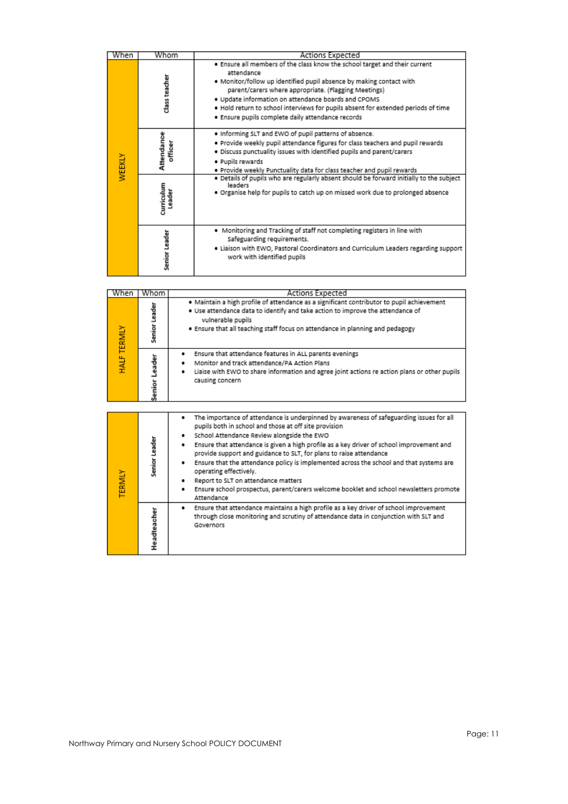| When   | Whom                  |        | Actions Expected                                                                                                                                                                                                                                                                                                                                                                                                         |  |  |
|--------|-----------------------|--------|--------------------------------------------------------------------------------------------------------------------------------------------------------------------------------------------------------------------------------------------------------------------------------------------------------------------------------------------------------------------------------------------------------------------------|--|--|
|        | class teacher         |        | . Ensure all members of the class know the school target and their current<br>attendance<br>. Monitor/follow up identified pupil absence by making contact with<br>parent/carers where appropriate. (Flagging Meetings)<br>. Update information on attendance boards and CPOMS<br>. Hold return to school interviews for pupils absent for extended periods of time<br>· Ensure pupils complete daily attendance records |  |  |
| WEEKLY | Attendance<br>officer |        | . Informing SLT and EWO of pupil patterns of absence.<br>. Provide weekly pupil attendance figures for class teachers and pupil rewards<br>. Discuss punctuality issues with identified pupils and parent/carers<br>· Pupils rewards<br>. Provide weekly Punctuality data for class teacher and pupil rewards                                                                                                            |  |  |
|        | curriculum            | Leader | . Details of pupils who are regularly absent should be forward initially to the subject<br>leaders<br>. Organise help for pupils to catch up on missed work due to prolonged absence                                                                                                                                                                                                                                     |  |  |
|        | Senior Leader         |        | . Monitoring and Tracking of staff not completing registers in line with<br>Safeguarding requirements.<br>. Liaison with EWO, Pastoral Coordinators and Curriculum Leaders regarding support<br>work with identified pupils                                                                                                                                                                                              |  |  |
|        |                       |        |                                                                                                                                                                                                                                                                                                                                                                                                                          |  |  |
| When   | Whom                  |        | Actions Expected                                                                                                                                                                                                                                                                                                                                                                                                         |  |  |
|        |                       |        | . Maintain a hìgh nrofile of attendance as a significant contributor to nunil achievement.                                                                                                                                                                                                                                                                                                                               |  |  |

| <b>HALF TERMIY</b> | Senior Leader | . Maintain a high profile of attendance as a significant contributor to pupil achievement<br>. Use attendance data to identify and take action to improve the attendance of<br>vulnerable pupils<br>. Ensure that all teaching staff focus on attendance in planning and pedagogy                                                                                                                                                                                                                                                                                                                                                                                  |
|--------------------|---------------|--------------------------------------------------------------------------------------------------------------------------------------------------------------------------------------------------------------------------------------------------------------------------------------------------------------------------------------------------------------------------------------------------------------------------------------------------------------------------------------------------------------------------------------------------------------------------------------------------------------------------------------------------------------------|
|                    | Senior Leader | Ensure that attendance features in ALL parents evenings<br>٠<br>Monitor and track attendance/PA Action Plans<br>٠<br>Liaise with EWO to share information and agree joint actions re action plans or other pupils<br>٠<br>causing concern                                                                                                                                                                                                                                                                                                                                                                                                                          |
|                    |               |                                                                                                                                                                                                                                                                                                                                                                                                                                                                                                                                                                                                                                                                    |
| TERMLY             | Senior Leader | The importance of attendance is underpinned by awareness of safeguarding issues for all<br>٠<br>pupils both in school and those at off site provision<br>School Attendance Review alongside the EWO<br>٠<br>Ensure that attendance is given a high profile as a key driver of school improvement and<br>٠<br>provide support and guidance to SLT, for plans to raise attendance<br>Ensure that the attendance policy is implemented across the school and that systems are<br>٠<br>operating effectively.<br>Report to SLT on attendance matters<br>٠<br>Ensure school prospectus, parent/carers welcome booklet and school newsletters promote<br>٠<br>Attendance |
|                    | Headteacher   | Ensure that attendance maintains a high profile as a key driver of school improvement<br>٠<br>through close monitoring and scrutiny of attendance data in conjunction with SLT and<br>Governors                                                                                                                                                                                                                                                                                                                                                                                                                                                                    |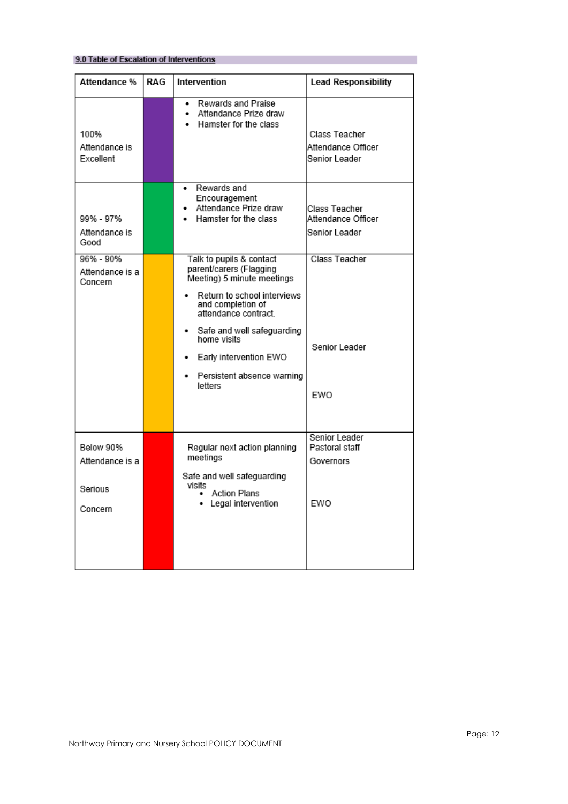#### 9.0 Table of Escalation of Interventions

| Attendance %                                       | RAG | Intervention                                                                                                                                                                                                                                                                            | <b>Lead Responsibility</b>                           |
|----------------------------------------------------|-----|-----------------------------------------------------------------------------------------------------------------------------------------------------------------------------------------------------------------------------------------------------------------------------------------|------------------------------------------------------|
| 100%<br>Attendance is<br>Excellent                 |     | Rewards and Praise<br>Attendance Prize draw<br>. .<br>Hamster for the class<br>. .                                                                                                                                                                                                      | Class Teacher<br>Attendance Officer<br>Senior Leader |
| 99% - 97%<br>Attendance is<br>Good                 |     | Rewards and<br>Encouragement<br>Attendance Prize draw<br>Hamster for the class<br>. .                                                                                                                                                                                                   | Class Teacher<br>Attendance Officer<br>Senior Leader |
| 96% - 90%<br>Attendance is a<br>Concern            |     | Talk to pupils & contact<br>parent/carers (Flagging<br>Meeting) 5 minute meetings<br>Return to school interviews<br>and completion of<br>attendance contract.<br>Safe and well safeguarding<br>home visits<br>Early intervention EWO<br>٠<br>Persistent absence warning<br>٠<br>letters | Class Teacher<br>Senior Leader<br>EWO                |
| Below 90%<br>Attendance is a<br>Serious<br>Concern |     | Regular next action planning<br>meetings<br>Safe and well safeguarding<br>visits<br><b>Action Plans</b><br>Legal intervention                                                                                                                                                           | Senior Leader<br>Pastoral staff<br>Governors<br>EWO  |